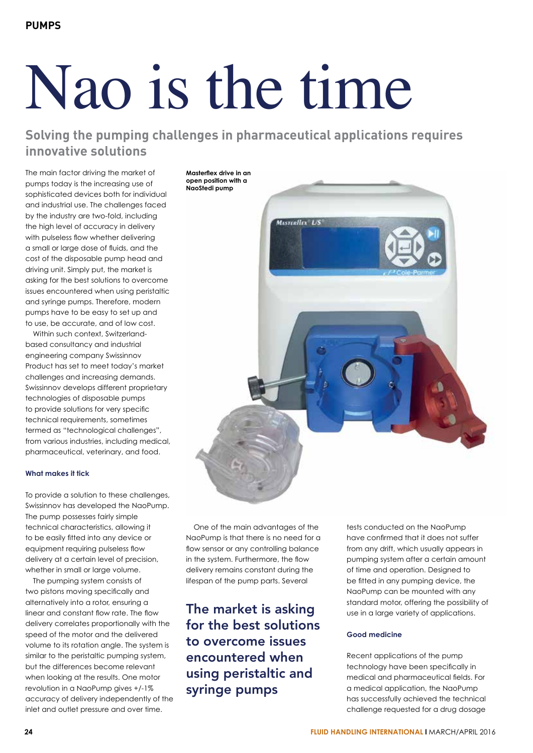# Nao is the time

**Solving the pumping challenges in pharmaceutical applications requires innovative solutions**

The main factor driving the market of pumps today is the increasing use of sophisticated devices both for individual and industrial use. The challenges faced by the industry are two-fold, including the high level of accuracy in delivery with pulseless flow whether delivering a small or large dose of fluids, and the cost of the disposable pump head and driving unit. Simply put, the market is asking for the best solutions to overcome issues encountered when using peristaltic and syringe pumps. Therefore, modern pumps have to be easy to set up and to use, be accurate, and of low cost.

Within such context, Switzerlandbased consultancy and industrial engineering company Swissinnov Product has set to meet today's market challenges and increasing demands. Swissinnov develops different proprietary technologies of disposable pumps to provide solutions for very specific technical requirements, sometimes termed as "technological challenges", from various industries, including medical, pharmaceutical, veterinary, and food.

# **What makes it tick**

To provide a solution to these challenges, Swissinnov has developed the NaoPump. The pump possesses fairly simple technical characteristics, allowing it to be easily fitted into any device or equipment requiring pulseless flow delivery at a certain level of precision, whether in small or large volume.

The pumping system consists of two pistons moving specifically and alternatively into a rotor, ensuring a linear and constant flow rate. The flow delivery correlates proportionally with the speed of the motor and the delivered volume to its rotation angle. The system is similar to the peristaltic pumping system, but the differences become relevant when looking at the results. One motor revolution in a NaoPump gives +/-1% accuracy of delivery independently of the inlet and outlet pressure and over time.

**Masterflex drive in an open position with a NaoStedi pump**



One of the main advantages of the NaoPump is that there is no need for a flow sensor or any controlling balance in the system. Furthermore, the flow delivery remains constant during the lifespan of the pump parts. Several

The market is asking for the best solutions to overcome issues encountered when using peristaltic and syringe pumps

tests conducted on the NaoPump have confirmed that it does not suffer from any drift, which usually appears in pumping system after a certain amount of time and operation. Designed to be fitted in any pumping device, the NaoPump can be mounted with any standard motor, offering the possibility of use in a large variety of applications.

# **Good medicine**

Recent applications of the pump technology have been specifically in medical and pharmaceutical fields. For a medical application, the NaoPump has successfully achieved the technical challenge requested for a drug dosage